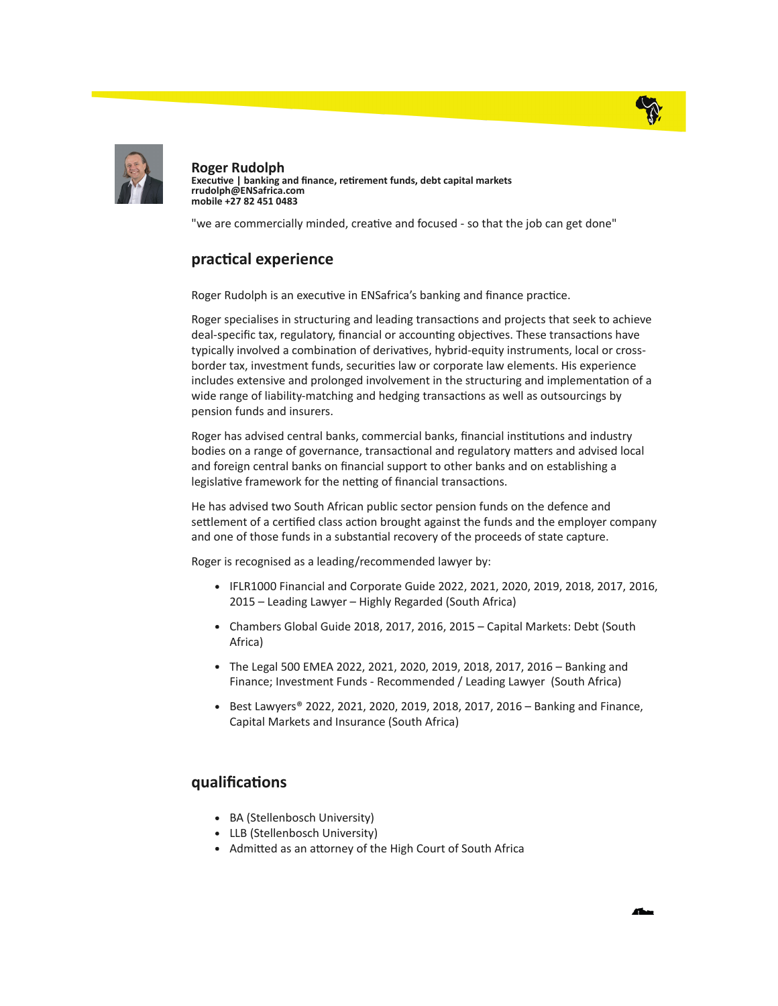



Roger Rudolph Executive | banking and finance, retirement funds, debt capital markets rrudolph@ENSafrica.com mobile +27 82 451 0483

"we are commercially minded, creative and focused - so that the job can get done"

## practical experience

Roger Rudolph is an executive in ENSafrica's banking and finance practice.

Roger specialises in structuring and leading transactions and projects that seek to achieve deal-specific tax, regulatory, financial or accounting objectives. These transactions have typically involved a combination of derivatives, hybrid-equity instruments, local or crossborder tax, investment funds, securities law or corporate law elements. His experience includes extensive and prolonged involvement in the structuring and implementation of a wide range of liability-matching and hedging transactions as well as outsourcings by pension funds and insurers.

Roger has advised central banks, commercial banks, financial institutions and industry bodies on a range of governance, transactional and regulatory matters and advised local and foreign central banks on financial support to other banks and on establishing a legislative framework for the netting of financial transactions.

He has advised two South African public sector pension funds on the defence and settlement of a certified class action brought against the funds and the employer company and one of those funds in a substantial recovery of the proceeds of state capture.

Roger is recognised as a leading/recommended lawyer by:

- IFLR1000 Financial and Corporate Guide 2022, 2021, 2020, 2019, 2018, 2017, 2016, 2015 – Leading Lawyer – Highly Regarded (South Africa)
- Chambers Global Guide 2018, 2017, 2016, 2015 Capital Markets: Debt (South Africa)
- The Legal 500 EMEA 2022, 2021, 2020, 2019, 2018, 2017, 2016 Banking and Finance; Investment Funds - Recommended / Leading Lawyer (South Africa)
- Best Lawyers® 2022, 2021, 2020, 2019, 2018, 2017, 2016 Banking and Finance, Capital Markets and Insurance (South Africa)

## qualifications

- BA (Stellenbosch University)
- LLB (Stellenbosch University)
- Admitted as an attorney of the High Court of South Africa